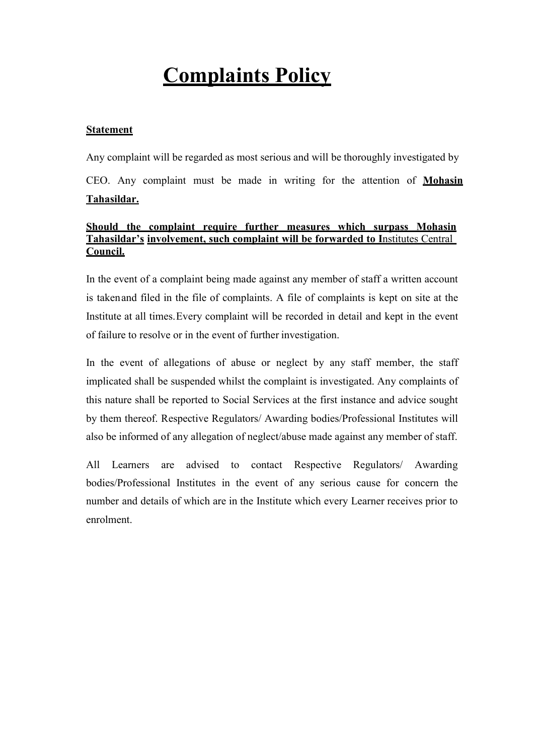# Complaints Policy

## Statement

Any complaint will be regarded as most serious and will be thoroughly investigated by CEO. Any complaint must be made in writing for the attention of Mohasin Tahasildar.

## Should the complaint require further measures which surpass Mohasin Tahasildar's involvement, such complaint will be forwarded to Institutes Central Council.

In the event of a complaint being made against any member of staff a written account is taken and filed in the file of complaints. A file of complaints is kept on site at the Institute at all times. Every complaint will be recorded in detail and kept in the event of failure to resolve or in the event of further investigation.

In the event of allegations of abuse or neglect by any staff member, the staff implicated shall be suspended whilst the complaint is investigated. Any complaints of this nature shall be reported to Social Services at the first instance and advice sought by them thereof. Respective Regulators/ Awarding bodies/Professional Institutes will also be informed of any allegation of neglect/abuse made against any member of staff.

All Learners are advised to contact Respective Regulators/ Awarding bodies/Professional Institutes in the event of any serious cause for concern the number and details of which are in the Institute which every Learner receives prior to enrolment.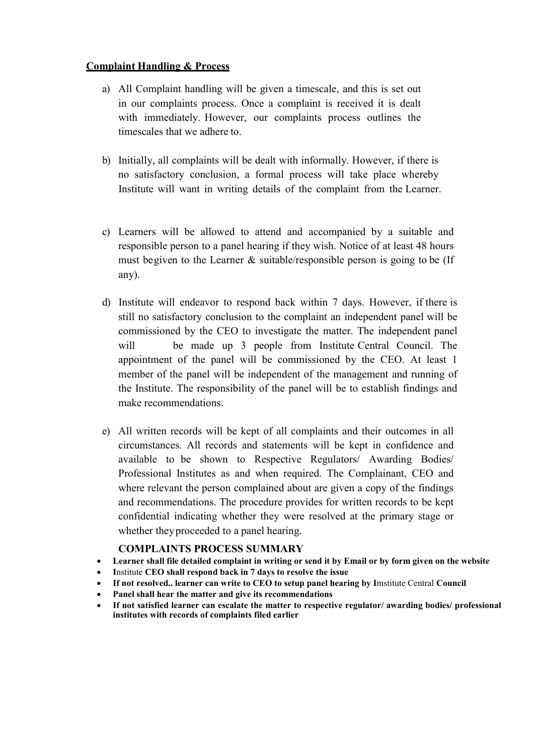## Complaint Handling & Process

- a) All Complaint handling will be given a timescale, and this is set out in our complaints process. Once a complaint is received it is dealt with immediately. However, our complaints process outlines the timescales that we adhere to.
- b) Initially, all complaints will be dealt with informally. However, if there is no satisfactory conclusion, a formal process will take place whereby Institute will want in writing details of the complaint from the Learner.
- c) Learners will be allowed to attend and accompanied by a suitable and responsible person to a panel hearing if they wish. Notice of at least 48 hours must be given to the Learner & suitable/responsible person is going to be (If any).
- d) Institute will endeavor to respond back within 7 days. However, if there is still no satisfactory conclusion to the complaint an independent panel will be commissioned by the CEO to investigate the matter. The independent panel will be made up 3 people from Institute Central Council. The appointment of the panel will be commissioned by the CEO. At least 1 member of the panel will be independent of the management and running of the Institute. The responsibility of the panel will be to establish findings and make recommendations.
- e) All written records will be kept of all complaints and their outcomes in all circumstances. All records and statements will be kept in confidence and available to be shown to Respective Regulators/ Awarding Bodies/ Professional Institutes as and when required. The Complainant, CEO and where relevant the person complained about are given a copy of the findings and recommendations. The procedure provides for written records to be kept confidential indicating whether they were resolved at the primary stage or whether they proceeded to a panel hearing.

#### COMPLAINTS PROCESS SUMMARY

- Learner shall file detailed complaint in writing or send it by Email or by form given on the website
- Institute CEO shall respond back in 7 days to resolve the issue
- If not resolved.. learner can write to CEO to setup panel hearing by Imstitute Central Council
- Panel shall hear the matter and give its recommendations
- institutes with records of complaints filed earlier If not satisfied learner can escalate the matter to respective regulator/ awarding bodies/ professional